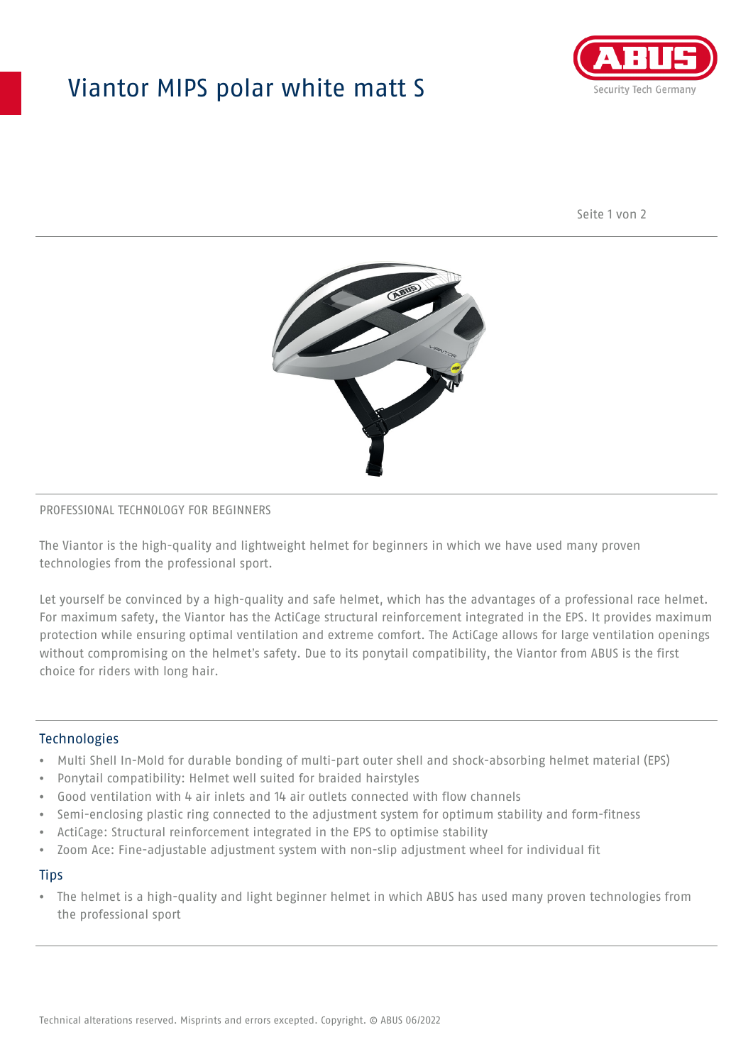## Viantor MIPS polar white matt S



Seite 1 von 2



#### PROFESSIONAL TECHNOLOGY FOR BEGINNERS

The Viantor is the high-quality and lightweight helmet for beginners in which we have used many proven technologies from the professional sport.

Let yourself be convinced by a high-quality and safe helmet, which has the advantages of a professional race helmet. For maximum safety, the Viantor has the ActiCage structural reinforcement integrated in the EPS. It provides maximum protection while ensuring optimal ventilation and extreme comfort. The ActiCage allows for large ventilation openings without compromising on the helmet's safety. Due to its ponytail compatibility, the Viantor from ABUS is the first choice for riders with long hair.

#### **Technologies**

- Multi Shell In-Mold for durable bonding of multi-part outer shell and shock-absorbing helmet material (EPS)
- Ponytail compatibility: Helmet well suited for braided hairstyles
- Good ventilation with 4 air inlets and 14 air outlets connected with flow channels
- Semi-enclosing plastic ring connected to the adjustment system for optimum stability and form-fitness
- ActiCage: Structural reinforcement integrated in the EPS to optimise stability
- Zoom Ace: Fine-adjustable adjustment system with non-slip adjustment wheel for individual fit

#### **Tips**

• The helmet is a high-quality and light beginner helmet in which ABUS has used many proven technologies from the professional sport